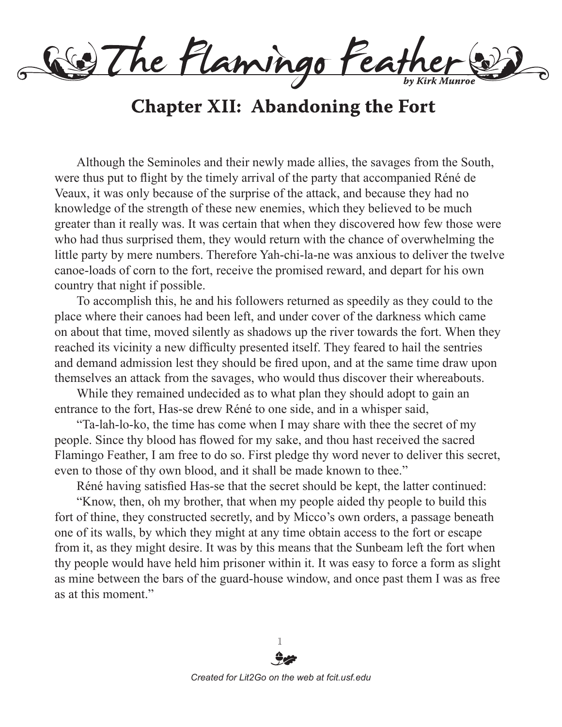of The Flamingo Feather

## **Chapter XII: Abandoning the Fort**

Although the Seminoles and their newly made allies, the savages from the South, were thus put to flight by the timely arrival of the party that accompanied Réné de Veaux, it was only because of the surprise of the attack, and because they had no knowledge of the strength of these new enemies, which they believed to be much greater than it really was. It was certain that when they discovered how few those were who had thus surprised them, they would return with the chance of overwhelming the little party by mere numbers. Therefore Yah-chi-la-ne was anxious to deliver the twelve canoe-loads of corn to the fort, receive the promised reward, and depart for his own country that night if possible.

To accomplish this, he and his followers returned as speedily as they could to the place where their canoes had been left, and under cover of the darkness which came on about that time, moved silently as shadows up the river towards the fort. When they reached its vicinity a new difficulty presented itself. They feared to hail the sentries and demand admission lest they should be fired upon, and at the same time draw upon themselves an attack from the savages, who would thus discover their whereabouts.

While they remained undecided as to what plan they should adopt to gain an entrance to the fort, Has-se drew Réné to one side, and in a whisper said,

"Ta-lah-lo-ko, the time has come when I may share with thee the secret of my people. Since thy blood has flowed for my sake, and thou hast received the sacred Flamingo Feather, I am free to do so. First pledge thy word never to deliver this secret, even to those of thy own blood, and it shall be made known to thee."

Réné having satisfied Has-se that the secret should be kept, the latter continued:

"Know, then, oh my brother, that when my people aided thy people to build this fort of thine, they constructed secretly, and by Micco's own orders, a passage beneath one of its walls, by which they might at any time obtain access to the fort or escape from it, as they might desire. It was by this means that the Sunbeam left the fort when thy people would have held him prisoner within it. It was easy to force a form as slight as mine between the bars of the guard-house window, and once past them I was as free as at this moment."

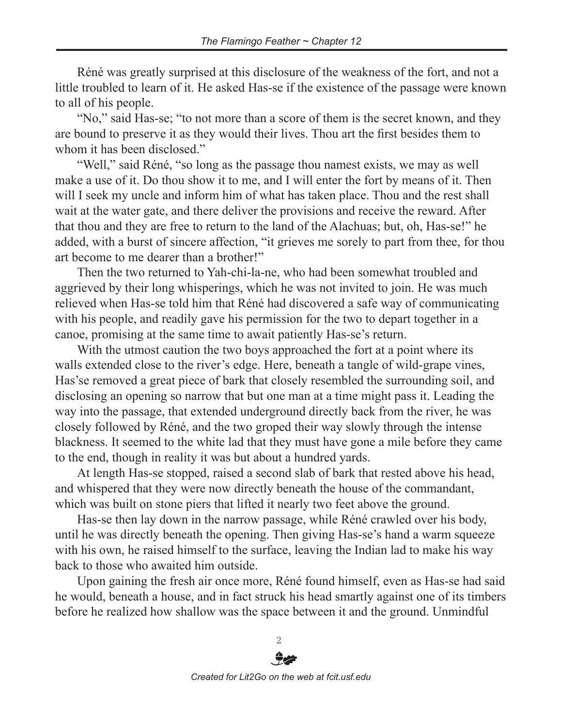Réné was greatly surprised at this disclosure of the weakness of the fort, and not a little troubled to learn of it. He asked Has-se if the existence of the passage were known to all of his people.

"No," said Has-se; "to not more than a score of them is the secret known, and they are bound to preserve it as they would their lives. Thou art the first besides them to whom it has been disclosed."

"Well," said Réné, "so long as the passage thou namest exists, we may as well make a use of it. Do thou show it to me, and I will enter the fort by means of it. Then will I seek my uncle and inform him of what has taken place. Thou and the rest shall wait at the water gate, and there deliver the provisions and receive the reward. After that thou and they are free to return to the land of the Alachuas; but, oh, Has-se!" he added, with a burst of sincere affection, "it grieves me sorely to part from thee, for thou art become to me dearer than a brother!"

Then the two returned to Yah-chi-la-ne, who had been somewhat troubled and aggrieved by their long whisperings, which he was not invited to join. He was much relieved when Has-se told him that Réné had discovered a safe way of communicating with his people, and readily gave his permission for the two to depart together in a canoe, promising at the same time to await patiently Has-se's return.

With the utmost caution the two boys approached the fort at a point where its walls extended close to the river's edge. Here, beneath a tangle of wild-grape vines, Has'se removed a great piece of bark that closely resembled the surrounding soil, and disclosing an opening so narrow that but one man at a time might pass it. Leading the way into the passage, that extended underground directly back from the river, he was closely followed by Réné, and the two groped their way slowly through the intense blackness. It seemed to the white lad that they must have gone a mile before they came to the end, though in reality it was but about a hundred yards.

At length Has-se stopped, raised a second slab of bark that rested above his head, and whispered that they were now directly beneath the house of the commandant, which was built on stone piers that lifted it nearly two feet above the ground.

Has-se then lay down in the narrow passage, while Réné crawled over his body, until he was directly beneath the opening. Then giving Has-se's hand a warm squeeze with his own, he raised himself to the surface, leaving the Indian lad to make his way back to those who awaited him outside.

Upon gaining the fresh air once more, Réné found himself, even as Has-se had said he would, beneath a house, and in fact struck his head smartly against one of its timbers before he realized how shallow was the space between it and the ground. Unmindful



 $\mathcal{D}$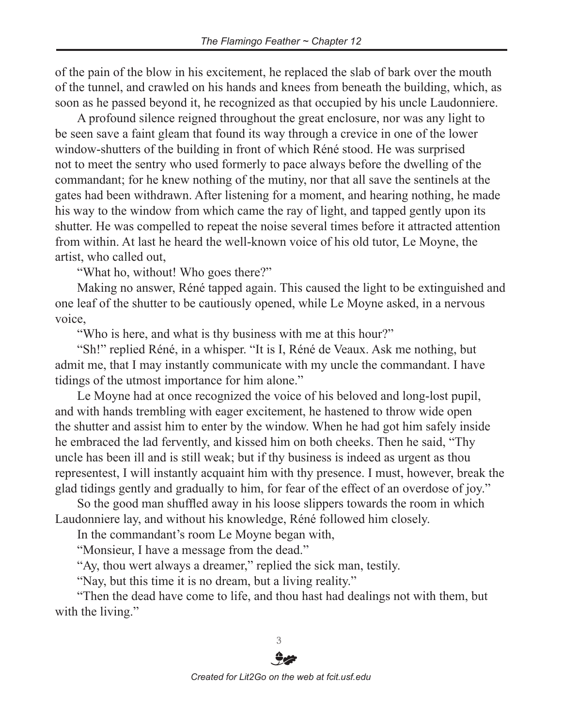of the pain of the blow in his excitement, he replaced the slab of bark over the mouth of the tunnel, and crawled on his hands and knees from beneath the building, which, as soon as he passed beyond it, he recognized as that occupied by his uncle Laudonniere.

A profound silence reigned throughout the great enclosure, nor was any light to be seen save a faint gleam that found its way through a crevice in one of the lower window-shutters of the building in front of which Réné stood. He was surprised not to meet the sentry who used formerly to pace always before the dwelling of the commandant; for he knew nothing of the mutiny, nor that all save the sentinels at the gates had been withdrawn. After listening for a moment, and hearing nothing, he made his way to the window from which came the ray of light, and tapped gently upon its shutter. He was compelled to repeat the noise several times before it attracted attention from within. At last he heard the well-known voice of his old tutor, Le Moyne, the artist, who called out,

"What ho, without! Who goes there?"

Making no answer, Réné tapped again. This caused the light to be extinguished and one leaf of the shutter to be cautiously opened, while Le Moyne asked, in a nervous voice,

"Who is here, and what is thy business with me at this hour?"

"Sh!" replied Réné, in a whisper. "It is I, Réné de Veaux. Ask me nothing, but admit me, that I may instantly communicate with my uncle the commandant. I have tidings of the utmost importance for him alone."

Le Moyne had at once recognized the voice of his beloved and long-lost pupil, and with hands trembling with eager excitement, he hastened to throw wide open the shutter and assist him to enter by the window. When he had got him safely inside he embraced the lad fervently, and kissed him on both cheeks. Then he said, "Thy uncle has been ill and is still weak; but if thy business is indeed as urgent as thou representest, I will instantly acquaint him with thy presence. I must, however, break the glad tidings gently and gradually to him, for fear of the effect of an overdose of joy."

So the good man shuffled away in his loose slippers towards the room in which Laudonniere lay, and without his knowledge, Réné followed him closely.

In the commandant's room Le Moyne began with,

"Monsieur, I have a message from the dead."

"Ay, thou wert always a dreamer," replied the sick man, testily.

"Nay, but this time it is no dream, but a living reality."

"Then the dead have come to life, and thou hast had dealings not with them, but with the living."

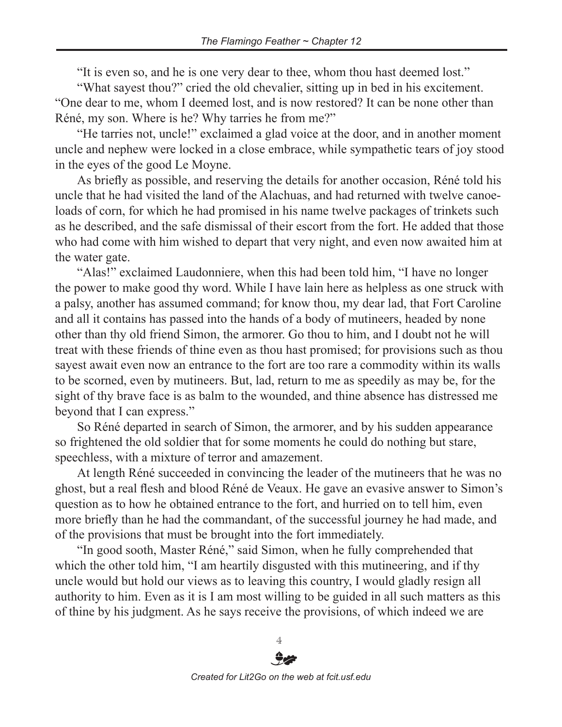"It is even so, and he is one very dear to thee, whom thou hast deemed lost."

"What sayest thou?" cried the old chevalier, sitting up in bed in his excitement. "One dear to me, whom I deemed lost, and is now restored? It can be none other than Réné, my son. Where is he? Why tarries he from me?"

"He tarries not, uncle!" exclaimed a glad voice at the door, and in another moment uncle and nephew were locked in a close embrace, while sympathetic tears of joy stood in the eyes of the good Le Moyne.

As briefly as possible, and reserving the details for another occasion, Réné told his uncle that he had visited the land of the Alachuas, and had returned with twelve canoeloads of corn, for which he had promised in his name twelve packages of trinkets such as he described, and the safe dismissal of their escort from the fort. He added that those who had come with him wished to depart that very night, and even now awaited him at the water gate.

"Alas!" exclaimed Laudonniere, when this had been told him, "I have no longer the power to make good thy word. While I have lain here as helpless as one struck with a palsy, another has assumed command; for know thou, my dear lad, that Fort Caroline and all it contains has passed into the hands of a body of mutineers, headed by none other than thy old friend Simon, the armorer. Go thou to him, and I doubt not he will treat with these friends of thine even as thou hast promised; for provisions such as thou sayest await even now an entrance to the fort are too rare a commodity within its walls to be scorned, even by mutineers. But, lad, return to me as speedily as may be, for the sight of thy brave face is as balm to the wounded, and thine absence has distressed me beyond that I can express."

So Réné departed in search of Simon, the armorer, and by his sudden appearance so frightened the old soldier that for some moments he could do nothing but stare, speechless, with a mixture of terror and amazement.

At length Réné succeeded in convincing the leader of the mutineers that he was no ghost, but a real flesh and blood Réné de Veaux. He gave an evasive answer to Simon's question as to how he obtained entrance to the fort, and hurried on to tell him, even more briefly than he had the commandant, of the successful journey he had made, and of the provisions that must be brought into the fort immediately.

"In good sooth, Master Réné," said Simon, when he fully comprehended that which the other told him, "I am heartily disgusted with this mutineering, and if thy uncle would but hold our views as to leaving this country, I would gladly resign all authority to him. Even as it is I am most willing to be guided in all such matters as this of thine by his judgment. As he says receive the provisions, of which indeed we are



4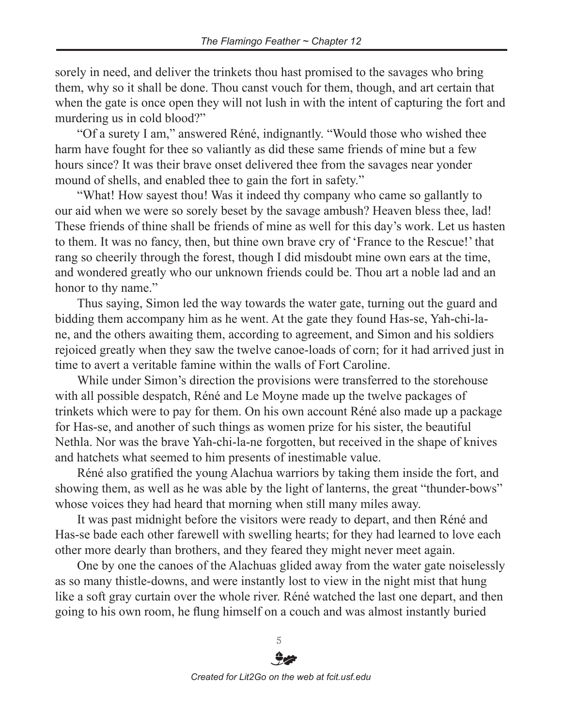sorely in need, and deliver the trinkets thou hast promised to the savages who bring them, why so it shall be done. Thou canst vouch for them, though, and art certain that when the gate is once open they will not lush in with the intent of capturing the fort and murdering us in cold blood?"

"Of a surety I am," answered Réné, indignantly. "Would those who wished thee harm have fought for thee so valiantly as did these same friends of mine but a few hours since? It was their brave onset delivered thee from the savages near yonder mound of shells, and enabled thee to gain the fort in safety."

"What! How sayest thou! Was it indeed thy company who came so gallantly to our aid when we were so sorely beset by the savage ambush? Heaven bless thee, lad! These friends of thine shall be friends of mine as well for this day's work. Let us hasten to them. It was no fancy, then, but thine own brave cry of 'France to the Rescue!' that rang so cheerily through the forest, though I did misdoubt mine own ears at the time, and wondered greatly who our unknown friends could be. Thou art a noble lad and an honor to thy name."

Thus saying, Simon led the way towards the water gate, turning out the guard and bidding them accompany him as he went. At the gate they found Has-se, Yah-chi-lane, and the others awaiting them, according to agreement, and Simon and his soldiers rejoiced greatly when they saw the twelve canoe-loads of corn; for it had arrived just in time to avert a veritable famine within the walls of Fort Caroline.

While under Simon's direction the provisions were transferred to the storehouse with all possible despatch, Réné and Le Moyne made up the twelve packages of trinkets which were to pay for them. On his own account Réné also made up a package for Has-se, and another of such things as women prize for his sister, the beautiful Nethla. Nor was the brave Yah-chi-la-ne forgotten, but received in the shape of knives and hatchets what seemed to him presents of inestimable value.

Réné also gratified the young Alachua warriors by taking them inside the fort, and showing them, as well as he was able by the light of lanterns, the great "thunder-bows" whose voices they had heard that morning when still many miles away.

It was past midnight before the visitors were ready to depart, and then Réné and Has-se bade each other farewell with swelling hearts; for they had learned to love each other more dearly than brothers, and they feared they might never meet again.

One by one the canoes of the Alachuas glided away from the water gate noiselessly as so many thistle-downs, and were instantly lost to view in the night mist that hung like a soft gray curtain over the whole river. Réné watched the last one depart, and then going to his own room, he flung himself on a couch and was almost instantly buried

*Created for Lit2Go on the web at fcit.usf.edu*

5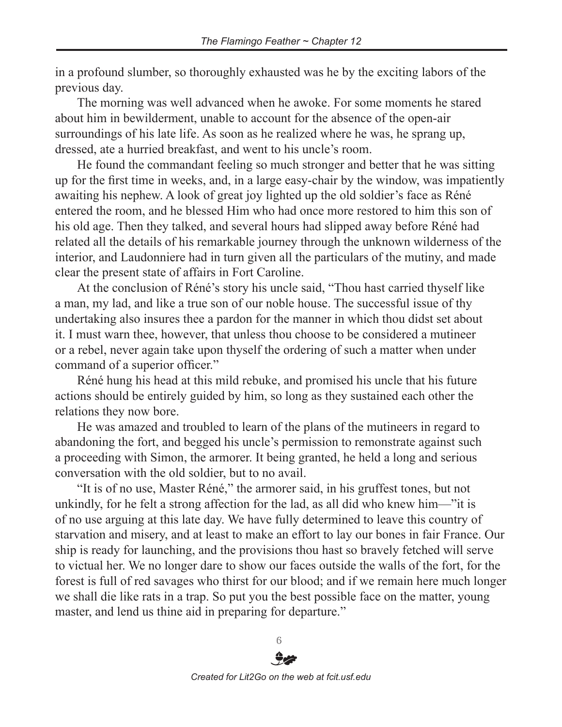in a profound slumber, so thoroughly exhausted was he by the exciting labors of the previous day.

The morning was well advanced when he awoke. For some moments he stared about him in bewilderment, unable to account for the absence of the open-air surroundings of his late life. As soon as he realized where he was, he sprang up, dressed, ate a hurried breakfast, and went to his uncle's room.

He found the commandant feeling so much stronger and better that he was sitting up for the first time in weeks, and, in a large easy-chair by the window, was impatiently awaiting his nephew. A look of great joy lighted up the old soldier's face as Réné entered the room, and he blessed Him who had once more restored to him this son of his old age. Then they talked, and several hours had slipped away before Réné had related all the details of his remarkable journey through the unknown wilderness of the interior, and Laudonniere had in turn given all the particulars of the mutiny, and made clear the present state of affairs in Fort Caroline.

At the conclusion of Réné's story his uncle said, "Thou hast carried thyself like a man, my lad, and like a true son of our noble house. The successful issue of thy undertaking also insures thee a pardon for the manner in which thou didst set about it. I must warn thee, however, that unless thou choose to be considered a mutineer or a rebel, never again take upon thyself the ordering of such a matter when under command of a superior officer."

Réné hung his head at this mild rebuke, and promised his uncle that his future actions should be entirely guided by him, so long as they sustained each other the relations they now bore.

He was amazed and troubled to learn of the plans of the mutineers in regard to abandoning the fort, and begged his uncle's permission to remonstrate against such a proceeding with Simon, the armorer. It being granted, he held a long and serious conversation with the old soldier, but to no avail.

"It is of no use, Master Réné," the armorer said, in his gruffest tones, but not unkindly, for he felt a strong affection for the lad, as all did who knew him—"it is of no use arguing at this late day. We have fully determined to leave this country of starvation and misery, and at least to make an effort to lay our bones in fair France. Our ship is ready for launching, and the provisions thou hast so bravely fetched will serve to victual her. We no longer dare to show our faces outside the walls of the fort, for the forest is full of red savages who thirst for our blood; and if we remain here much longer we shall die like rats in a trap. So put you the best possible face on the matter, young master, and lend us thine aid in preparing for departure."

> 6 *Created for Lit2Go on the web at fcit.usf.edu*